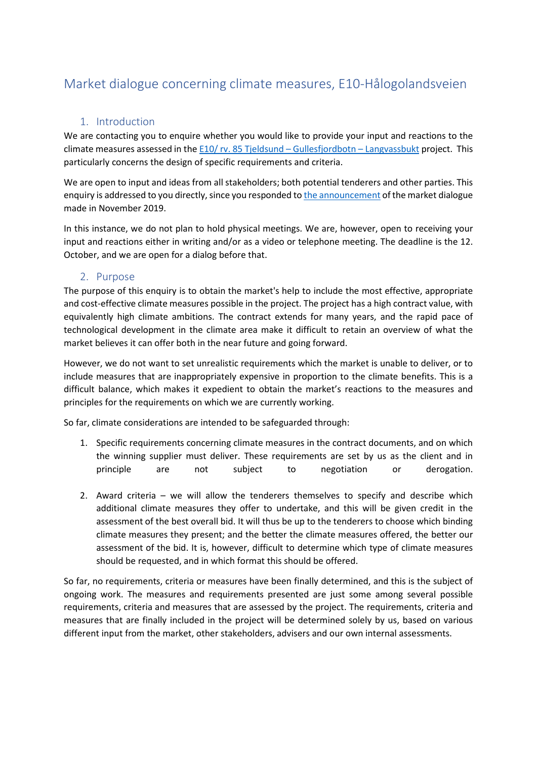# Market dialogue concerning climate measures, E10-Hålogolandsveien

## 1. Introduction

We are contacting you to enquire whether you would like to provide your input and reactions to the climate measures assessed in the [E10/ rv. 85 Tjeldsund –](https://www.vegvesen.no/vegprosjekter/halogalandsvegen) Gullesfjordbotn – Langvassbukt project. This particularly concerns the design of specific requirements and criteria.

We are open to input and ideas from all stakeholders; both potential tenderers and other parties. This enquiry is addressed to you directly, since you responded to [the announcement](https://doffin.no/Notice/Details/2019-316253) of the market dialogue made in November 2019.

In this instance, we do not plan to hold physical meetings. We are, however, open to receiving your input and reactions either in writing and/or as a video or telephone meeting. The deadline is the 12. October, and we are open for a dialog before that.

#### 2. Purpose

The purpose of this enquiry is to obtain the market's help to include the most effective, appropriate and cost-effective climate measures possible in the project. The project has a high contract value, with equivalently high climate ambitions. The contract extends for many years, and the rapid pace of technological development in the climate area make it difficult to retain an overview of what the market believes it can offer both in the near future and going forward.

However, we do not want to set unrealistic requirements which the market is unable to deliver, or to include measures that are inappropriately expensive in proportion to the climate benefits. This is a difficult balance, which makes it expedient to obtain the market's reactions to the measures and principles for the requirements on which we are currently working.

So far, climate considerations are intended to be safeguarded through:

- 1. Specific requirements concerning climate measures in the contract documents, and on which the winning supplier must deliver. These requirements are set by us as the client and in principle are not subject to negotiation or derogation.
- 2. Award criteria we will allow the tenderers themselves to specify and describe which additional climate measures they offer to undertake, and this will be given credit in the assessment of the best overall bid. It will thus be up to the tenderers to choose which binding climate measures they present; and the better the climate measures offered, the better our assessment of the bid. It is, however, difficult to determine which type of climate measures should be requested, and in which format this should be offered.

So far, no requirements, criteria or measures have been finally determined, and this is the subject of ongoing work. The measures and requirements presented are just some among several possible requirements, criteria and measures that are assessed by the project. The requirements, criteria and measures that are finally included in the project will be determined solely by us, based on various different input from the market, other stakeholders, advisers and our own internal assessments.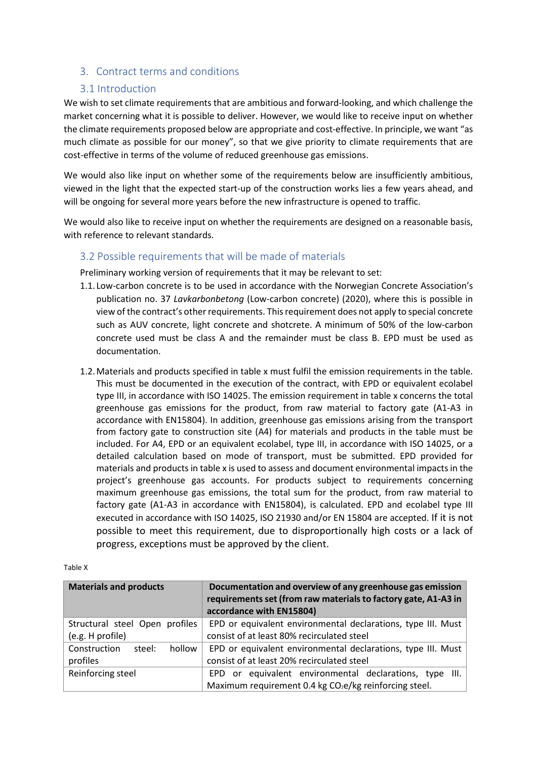## 3. Contract terms and conditions

#### 3.1 Introduction

We wish to set climate requirements that are ambitious and forward-looking, and which challenge the market concerning what it is possible to deliver. However, we would like to receive input on whether the climate requirements proposed below are appropriate and cost-effective. In principle, we want "as much climate as possible for our money", so that we give priority to climate requirements that are cost-effective in terms of the volume of reduced greenhouse gas emissions.

We would also like input on whether some of the requirements below are insufficiently ambitious, viewed in the light that the expected start-up of the construction works lies a few years ahead, and will be ongoing for several more years before the new infrastructure is opened to traffic.

We would also like to receive input on whether the requirements are designed on a reasonable basis, with reference to relevant standards.

#### 3.2 Possible requirements that will be made of materials

Preliminary working version of requirements that it may be relevant to set:

- 1.1. Low-carbon concrete is to be used in accordance with the Norwegian Concrete Association's publication no. 37 *Lavkarbonbetong* (Low-carbon concrete) (2020), where this is possible in view of the contract's other requirements. This requirement does not apply to special concrete such as AUV concrete, light concrete and shotcrete. A minimum of 50% of the low-carbon concrete used must be class A and the remainder must be class B. EPD must be used as documentation.
- 1.2.Materials and products specified in table x must fulfil the emission requirements in the table. This must be documented in the execution of the contract, with EPD or equivalent ecolabel type III, in accordance with ISO 14025. The emission requirement in table x concerns the total greenhouse gas emissions for the product, from raw material to factory gate (A1-A3 in accordance with EN15804). In addition, greenhouse gas emissions arising from the transport from factory gate to construction site (A4) for materials and products in the table must be included. For A4, EPD or an equivalent ecolabel, type III, in accordance with ISO 14025, or a detailed calculation based on mode of transport, must be submitted. EPD provided for materials and products in table x is used to assess and document environmental impacts in the project's greenhouse gas accounts. For products subject to requirements concerning maximum greenhouse gas emissions, the total sum for the product, from raw material to factory gate (A1-A3 in accordance with EN15804), is calculated. EPD and ecolabel type III executed in accordance with ISO 14025, ISO 21930 and/or EN 15804 are accepted. If it is not possible to meet this requirement, due to disproportionally high costs or a lack of progress, exceptions must be approved by the client.

| <b>Materials and products</b>    | Documentation and overview of any greenhouse gas emission<br>requirements set (from raw materials to factory gate, A1-A3 in<br>accordance with EN15804) |
|----------------------------------|---------------------------------------------------------------------------------------------------------------------------------------------------------|
| Structural steel Open profiles   | EPD or equivalent environmental declarations, type III. Must                                                                                            |
| (e.g. H profile)                 | consist of at least 80% recirculated steel                                                                                                              |
| Construction<br>hollow<br>steel: | EPD or equivalent environmental declarations, type III. Must                                                                                            |
| profiles                         | consist of at least 20% recirculated steel                                                                                                              |
| Reinforcing steel                | EPD or equivalent environmental declarations, type III.                                                                                                 |
|                                  | Maximum requirement 0.4 kg CO <sub>2</sub> e/kg reinforcing steel.                                                                                      |

Table X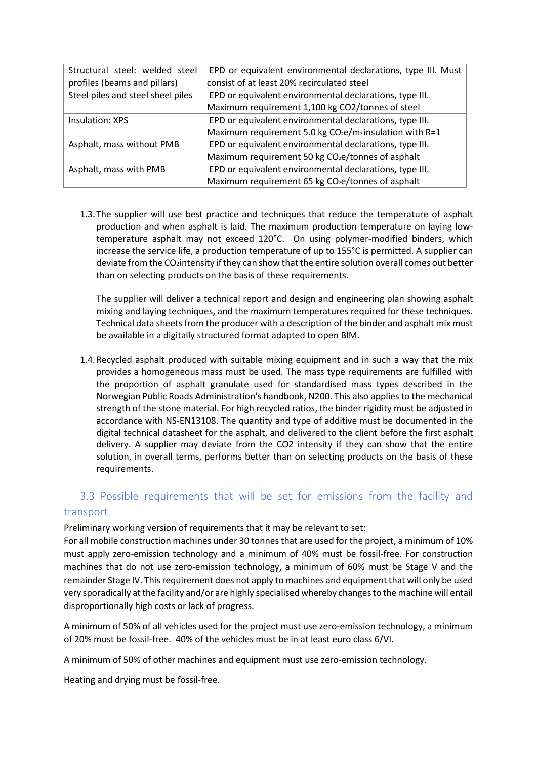| Structural steel: welded steel    | EPD or equivalent environmental declarations, type III. Must  |
|-----------------------------------|---------------------------------------------------------------|
| profiles (beams and pillars)      | consist of at least 20% recirculated steel                    |
| Steel piles and steel sheel piles | EPD or equivalent environmental declarations, type III.       |
|                                   | Maximum requirement 1,100 kg CO2/tonnes of steel              |
| Insulation: XPS                   | EPD or equivalent environmental declarations, type III.       |
|                                   | Maximum requirement 5.0 kg $CO2e/m2$ insulation with R=1      |
| Asphalt, mass without PMB         | EPD or equivalent environmental declarations, type III.       |
|                                   | Maximum requirement 50 kg CO <sub>2</sub> e/tonnes of asphalt |
| Asphalt, mass with PMB            | EPD or equivalent environmental declarations, type III.       |
|                                   | Maximum requirement 65 kg CO <sub>2</sub> e/tonnes of asphalt |

1.3.The supplier will use best practice and techniques that reduce the temperature of asphalt production and when asphalt is laid. The maximum production temperature on laying lowtemperature asphalt may not exceed 120°C. On using polymer-modified binders, which increase the service life, a production temperature of up to 155°C is permitted. A supplier can deviate from the CO2intensity if they can show that the entire solution overall comes out better than on selecting products on the basis of these requirements.

The supplier will deliver a technical report and design and engineering plan showing asphalt mixing and laying techniques, and the maximum temperatures required for these techniques. Technical data sheets from the producer with a description of the binder and asphalt mix must be available in a digitally structured format adapted to open BIM.

1.4.Recycled asphalt produced with suitable mixing equipment and in such a way that the mix provides a homogeneous mass must be used. The mass type requirements are fulfilled with the proportion of asphalt granulate used for standardised mass types described in the Norwegian Public Roads Administration's handbook, N200. This also applies to the mechanical strength of the stone material. For high recycled ratios, the binder rigidity must be adjusted in accordance with NS-EN13108. The quantity and type of additive must be documented in the digital technical datasheet for the asphalt, and delivered to the client before the first asphalt delivery. A supplier may deviate from the CO2 intensity if they can show that the entire solution, in overall terms, performs better than on selecting products on the basis of these requirements.

## 3.3 Possible requirements that will be set for emissions from the facility and transport

Preliminary working version of requirements that it may be relevant to set:

For all mobile construction machines under 30 tonnes that are used for the project, a minimum of 10% must apply zero-emission technology and a minimum of 40% must be fossil-free. For construction machines that do not use zero-emission technology, a minimum of 60% must be Stage V and the remainder Stage IV. This requirement does not apply to machines and equipment that will only be used very sporadically at the facility and/or are highly specialised whereby changes to the machine will entail disproportionally high costs or lack of progress.

A minimum of 50% of all vehicles used for the project must use zero-emission technology, a minimum of 20% must be fossil-free. 40% of the vehicles must be in at least euro class 6/VI.

A minimum of 50% of other machines and equipment must use zero-emission technology.

Heating and drying must be fossil-free.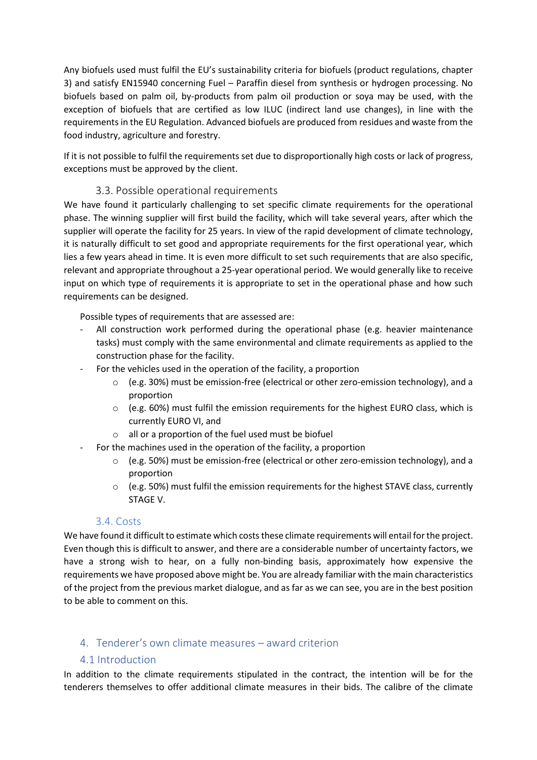Any biofuels used must fulfil the EU's sustainability criteria for biofuels (product regulations, chapter 3) and satisfy EN15940 concerning Fuel – Paraffin diesel from synthesis or hydrogen processing. No biofuels based on palm oil, by-products from palm oil production or soya may be used, with the exception of biofuels that are certified as low ILUC (indirect land use changes), in line with the requirements in the EU Regulation. Advanced biofuels are produced from residues and waste from the food industry, agriculture and forestry.

If it is not possible to fulfil the requirements set due to disproportionally high costs or lack of progress, exceptions must be approved by the client.

#### 3.3. Possible operational requirements

We have found it particularly challenging to set specific climate requirements for the operational phase. The winning supplier will first build the facility, which will take several years, after which the supplier will operate the facility for 25 years. In view of the rapid development of climate technology, it is naturally difficult to set good and appropriate requirements for the first operational year, which lies a few years ahead in time. It is even more difficult to set such requirements that are also specific, relevant and appropriate throughout a 25-year operational period. We would generally like to receive input on which type of requirements it is appropriate to set in the operational phase and how such requirements can be designed.

Possible types of requirements that are assessed are:

- All construction work performed during the operational phase (e.g. heavier maintenance tasks) must comply with the same environmental and climate requirements as applied to the construction phase for the facility.
- For the vehicles used in the operation of the facility, a proportion
	- $\circ$  (e.g. 30%) must be emission-free (electrical or other zero-emission technology), and a proportion
	- $\circ$  (e.g. 60%) must fulfil the emission requirements for the highest EURO class, which is currently EURO VI, and
	- o all or a proportion of the fuel used must be biofuel
- For the machines used in the operation of the facility, a proportion
	- $\circ$  (e.g. 50%) must be emission-free (electrical or other zero-emission technology), and a proportion
	- $\circ$  (e.g. 50%) must fulfil the emission requirements for the highest STAVE class, currently STAGE V.

## 3.4. Costs

We have found it difficult to estimate which costs these climate requirements will entail for the project. Even though this is difficult to answer, and there are a considerable number of uncertainty factors, we have a strong wish to hear, on a fully non-binding basis, approximately how expensive the requirements we have proposed above might be. You are already familiar with the main characteristics of the project from the previous market dialogue, and as far as we can see, you are in the best position to be able to comment on this.

## 4. Tenderer's own climate measures – award criterion

## 4.1 Introduction

In addition to the climate requirements stipulated in the contract, the intention will be for the tenderers themselves to offer additional climate measures in their bids. The calibre of the climate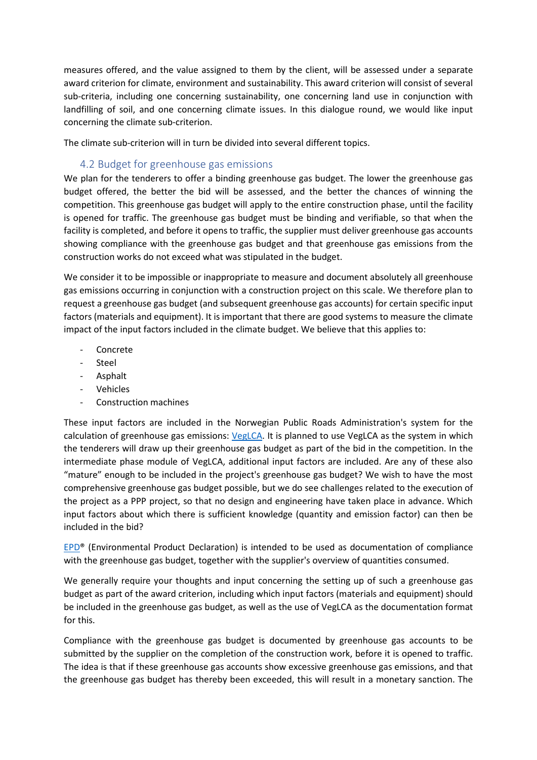measures offered, and the value assigned to them by the client, will be assessed under a separate award criterion for climate, environment and sustainability. This award criterion will consist of several sub-criteria, including one concerning sustainability, one concerning land use in conjunction with landfilling of soil, and one concerning climate issues. In this dialogue round, we would like input concerning the climate sub-criterion.

The climate sub-criterion will in turn be divided into several different topics.

## 4.2 Budget for greenhouse gas emissions

We plan for the tenderers to offer a binding greenhouse gas budget. The lower the greenhouse gas budget offered, the better the bid will be assessed, and the better the chances of winning the competition. This greenhouse gas budget will apply to the entire construction phase, until the facility is opened for traffic. The greenhouse gas budget must be binding and verifiable, so that when the facility is completed, and before it opens to traffic, the supplier must deliver greenhouse gas accounts showing compliance with the greenhouse gas budget and that greenhouse gas emissions from the construction works do not exceed what was stipulated in the budget.

We consider it to be impossible or inappropriate to measure and document absolutely all greenhouse gas emissions occurring in conjunction with a construction project on this scale. We therefore plan to request a greenhouse gas budget (and subsequent greenhouse gas accounts) for certain specific input factors (materials and equipment). It is important that there are good systems to measure the climate impact of the input factors included in the climate budget. We believe that this applies to:

- **Concrete**
- Steel
- Asphalt
- **Vehicles**
- Construction machines

These input factors are included in the Norwegian Public Roads Administration's system for the calculation of greenhouse gas emissions: [VegLCA.](https://www.vegvesen.no/fag/fokusomrader/miljo+og+omgivelser/klima/klimagassreduksjoner-i-anlegg-og-drift) It is planned to use VegLCA as the system in which the tenderers will draw up their greenhouse gas budget as part of the bid in the competition. In the intermediate phase module of VegLCA, additional input factors are included. Are any of these also "mature" enough to be included in the project's greenhouse gas budget? We wish to have the most comprehensive greenhouse gas budget possible, but we do see challenges related to the execution of the project as a PPP project, so that no design and engineering have taken place in advance. Which input factors about which there is sufficient knowledge (quantity and emission factor) can then be included in the bid?

[EPD®](https://www.epd-norge.no/?lang=no_NO) (Environmental Product Declaration) is intended to be used as documentation of compliance with the greenhouse gas budget, together with the supplier's overview of quantities consumed.

We generally require your thoughts and input concerning the setting up of such a greenhouse gas budget as part of the award criterion, including which input factors (materials and equipment) should be included in the greenhouse gas budget, as well as the use of VegLCA as the documentation format for this.

Compliance with the greenhouse gas budget is documented by greenhouse gas accounts to be submitted by the supplier on the completion of the construction work, before it is opened to traffic. The idea is that if these greenhouse gas accounts show excessive greenhouse gas emissions, and that the greenhouse gas budget has thereby been exceeded, this will result in a monetary sanction. The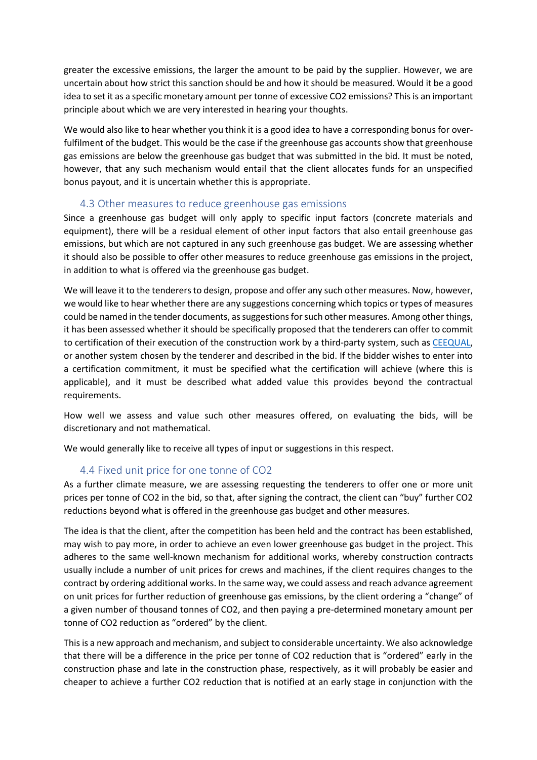greater the excessive emissions, the larger the amount to be paid by the supplier. However, we are uncertain about how strict this sanction should be and how it should be measured. Would it be a good idea to set it as a specific monetary amount per tonne of excessive CO2 emissions? This is an important principle about which we are very interested in hearing your thoughts.

We would also like to hear whether you think it is a good idea to have a corresponding bonus for overfulfilment of the budget. This would be the case if the greenhouse gas accounts show that greenhouse gas emissions are below the greenhouse gas budget that was submitted in the bid. It must be noted, however, that any such mechanism would entail that the client allocates funds for an unspecified bonus payout, and it is uncertain whether this is appropriate.

#### 4.3 Other measures to reduce greenhouse gas emissions

Since a greenhouse gas budget will only apply to specific input factors (concrete materials and equipment), there will be a residual element of other input factors that also entail greenhouse gas emissions, but which are not captured in any such greenhouse gas budget. We are assessing whether it should also be possible to offer other measures to reduce greenhouse gas emissions in the project, in addition to what is offered via the greenhouse gas budget.

We will leave it to the tenderers to design, propose and offer any such other measures. Now, however, we would like to hear whether there are any suggestions concerning which topics or types of measures could be named in the tender documents, as suggestions for such other measures. Among other things, it has been assessed whether it should be specifically proposed that the tenderers can offer to commit to certification of their execution of the construction work by a third-party system, such a[s CEEQUAL,](https://www.ceequal.com/) or another system chosen by the tenderer and described in the bid. If the bidder wishes to enter into a certification commitment, it must be specified what the certification will achieve (where this is applicable), and it must be described what added value this provides beyond the contractual requirements.

How well we assess and value such other measures offered, on evaluating the bids, will be discretionary and not mathematical.

We would generally like to receive all types of input or suggestions in this respect.

## 4.4 Fixed unit price for one tonne of CO2

As a further climate measure, we are assessing requesting the tenderers to offer one or more unit prices per tonne of CO2 in the bid, so that, after signing the contract, the client can "buy" further CO2 reductions beyond what is offered in the greenhouse gas budget and other measures.

The idea is that the client, after the competition has been held and the contract has been established, may wish to pay more, in order to achieve an even lower greenhouse gas budget in the project. This adheres to the same well-known mechanism for additional works, whereby construction contracts usually include a number of unit prices for crews and machines, if the client requires changes to the contract by ordering additional works. In the same way, we could assess and reach advance agreement on unit prices for further reduction of greenhouse gas emissions, by the client ordering a "change" of a given number of thousand tonnes of CO2, and then paying a pre-determined monetary amount per tonne of CO2 reduction as "ordered" by the client.

This is a new approach and mechanism, and subject to considerable uncertainty. We also acknowledge that there will be a difference in the price per tonne of CO2 reduction that is "ordered" early in the construction phase and late in the construction phase, respectively, as it will probably be easier and cheaper to achieve a further CO2 reduction that is notified at an early stage in conjunction with the